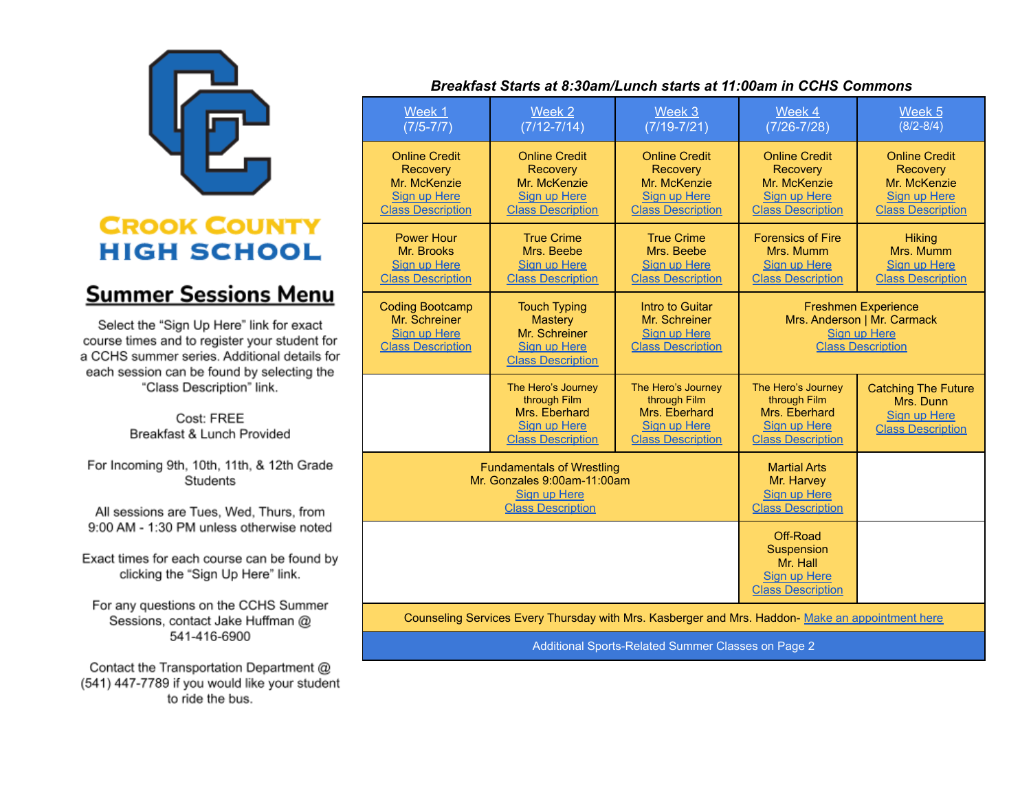

## **CROOK COUNTY HIGH SCHOOL**

## **Summer Sessions Menu**

Select the "Sign Up Here" link for exact course times and to register your student for a CCHS summer series. Additional details for each session can be found by selecting the "Class Description" link.

> Cost: FREE Breakfast & Lunch Provided

For Incoming 9th, 10th, 11th, & 12th Grade Students

All sessions are Tues, Wed, Thurs, from 9:00 AM - 1:30 PM unless otherwise noted

Exact times for each course can be found by clicking the "Sign Up Here" link.

For any questions on the CCHS Summer Sessions, contact Jake Huffman @ 541-416-6900

Contact the Transportation Department @ (541) 447-7789 if you would like your student to ride the bus.

## Breakfast Starts at 8:30am/Lunch starts at 11:00am in CCHS Commons

| Week 1<br>$(7/5 - 7/7)$                                                                                            | Week 2<br>$(7/12 - 7/14)$                                                                                 | Week 3<br>$(7/19 - 7/21)$                                                                           | Week 4<br>$(7/26 - 7/28)$                                                                                    | Week <sub>5</sub><br>$(8/2 - 8/4)$                                                                  |
|--------------------------------------------------------------------------------------------------------------------|-----------------------------------------------------------------------------------------------------------|-----------------------------------------------------------------------------------------------------|--------------------------------------------------------------------------------------------------------------|-----------------------------------------------------------------------------------------------------|
| <b>Online Credit</b><br><b>Recovery</b><br>Mr. McKenzie<br><b>Sign up Here</b><br><b>Class Description</b>         | <b>Online Credit</b><br>Recovery<br>Mr. McKenzie<br><b>Sign up Here</b><br><b>Class Description</b>       | <b>Online Credit</b><br><b>Recovery</b><br>Mr. McKenzie<br>Sign up Here<br><b>Class Description</b> | <b>Online Credit</b><br>Recovery<br>Mr. McKenzie<br>Sign up Here<br><b>Class Description</b>                 | <b>Online Credit</b><br><b>Recovery</b><br>Mr. McKenzie<br>Sign up Here<br><b>Class Description</b> |
| <b>Power Hour</b><br>Mr. Brooks<br>Sign up Here<br><b>Class Description</b>                                        | <b>True Crime</b><br>Mrs. Beebe<br>Sign up Here<br><b>Class Description</b>                               | <b>True Crime</b><br>Mrs. Beebe<br>Sign up Here<br><b>Class Description</b>                         | <b>Forensics of Fire</b><br>Mrs. Mumm<br>Sign up Here<br><b>Class Description</b>                            | <b>Hiking</b><br>Mrs. Mumm<br><b>Sign up Here</b><br><b>Class Description</b>                       |
| <b>Coding Bootcamp</b><br>Mr. Schreiner<br><b>Sign up Here</b><br><b>Class Description</b>                         | <b>Touch Typing</b><br><b>Mastery</b><br>Mr. Schreiner<br><b>Sign up Here</b><br><b>Class Description</b> | Intro to Guitar<br>Mr. Schreiner<br>Sign up Here<br><b>Class Description</b>                        | <b>Freshmen Experience</b><br>Mrs. Anderson   Mr. Carmack<br><b>Sign up Here</b><br><b>Class Description</b> |                                                                                                     |
|                                                                                                                    | The Hero's Journey<br>through Film<br>Mrs. Eberhard<br>Sign up Here<br><b>Class Description</b>           | The Hero's Journey<br>through Film<br>Mrs. Eberhard<br>Sign up Here<br><b>Class Description</b>     | The Hero's Journey<br>through Film<br>Mrs. Eberhard<br>Sign up Here<br><b>Class Description</b>              | <b>Catching The Future</b><br>Mrs. Dunn<br>Sign up Here<br><b>Class Description</b>                 |
| <b>Fundamentals of Wrestling</b><br>Mr. Gonzales 9:00am-11:00am<br><b>Sign up Here</b><br><b>Class Description</b> |                                                                                                           |                                                                                                     | <b>Martial Arts</b><br>Mr. Harvey<br><b>Sign up Here</b><br><b>Class Description</b>                         |                                                                                                     |
|                                                                                                                    |                                                                                                           |                                                                                                     | Off-Road<br>Suspension<br>Mr. Hall<br><b>Sign up Here</b><br><b>Class Description</b>                        |                                                                                                     |
| Counseling Services Every Thursday with Mrs. Kasberger and Mrs. Haddon- Make an appointment here                   |                                                                                                           |                                                                                                     |                                                                                                              |                                                                                                     |

Additional Sports-Related Summer Classes on Page 2